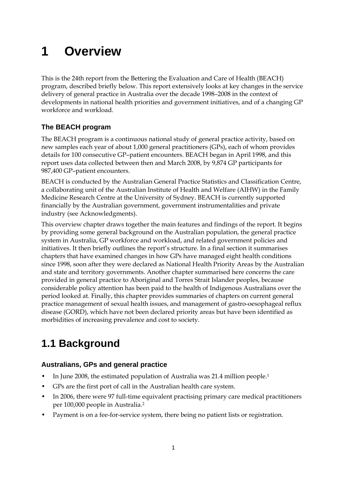# **1 Overview**

This is the 24th report from the Bettering the Evaluation and Care of Health (BEACH) program, described briefly below. This report extensively looks at key changes in the service delivery of general practice in Australia over the decade 1998–2008 in the context of developments in national health priorities and government initiatives, and of a changing GP workforce and workload.

## **The BEACH program**

The BEACH program is a continuous national study of general practice activity, based on new samples each year of about 1,000 general practitioners (GPs), each of whom provides details for 100 consecutive GP–patient encounters. BEACH began in April 1998, and this report uses data collected between then and March 2008, by 9,874 GP participants for 987,400 GP–patient encounters.

BEACH is conducted by the Australian General Practice Statistics and Classification Centre, a collaborating unit of the Australian Institute of Health and Welfare (AIHW) in the Family Medicine Research Centre at the University of Sydney. BEACH is currently supported financially by the Australian government, government instrumentalities and private industry (see Acknowledgments).

This overview chapter draws together the main features and findings of the report. It begins by providing some general background on the Australian population, the general practice system in Australia, GP workforce and workload, and related government policies and initiatives. It then briefly outlines the report's structure. In a final section it summarises chapters that have examined changes in how GPs have managed eight health conditions since 1998, soon after they were declared as National Health Priority Areas by the Australian and state and territory governments. Another chapter summarised here concerns the care provided in general practice to Aboriginal and Torres Strait Islander peoples, because considerable policy attention has been paid to the health of Indigenous Australians over the period looked at. Finally, this chapter provides summaries of chapters on current general practice management of sexual health issues, and management of gastro-oesophageal reflux disease (GORD), which have not been declared priority areas but have been identified as morbidities of increasing prevalence and cost to society.

# **1.1 Background**

## **Australians, GPs and general practice**

- In June 2008, the estimated population of Australia was 21.4 million people.1
- GPs are the first port of call in the Australian health care system.
- In 2006, there were 97 full-time equivalent practising primary care medical practitioners per 100,000 people in Australia.2
- Payment is on a fee-for-service system, there being no patient lists or registration.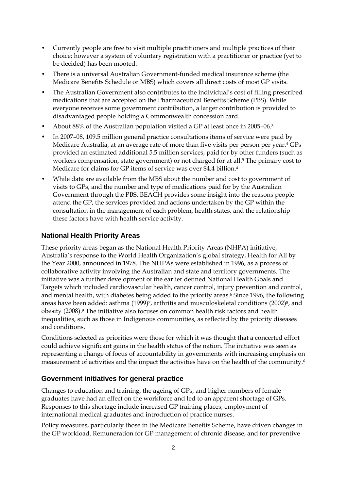- Currently people are free to visit multiple practitioners and multiple practices of their choice; however a system of voluntary registration with a practitioner or practice (yet to be decided) has been mooted.
- There is a universal Australian Government-funded medical insurance scheme (the Medicare Benefits Schedule or MBS) which covers all direct costs of most GP visits.
- The Australian Government also contributes to the individual's cost of filling prescribed medications that are accepted on the Pharmaceutical Benefits Scheme (PBS). While everyone receives some government contribution, a larger contribution is provided to disadvantaged people holding a Commonwealth concession card.
- About 88% of the Australian population visited a GP at least once in 2005–06.3
- In 2007–08, 109.5 million general practice consultations items of service were paid by Medicare Australia, at an average rate of more than five visits per person per year.4 GPs provided an estimated additional 5.5 million services, paid for by other funders (such as workers compensation, state government) or not charged for at all.5 The primary cost to Medicare for claims for GP items of service was over \$4.4 billion.4
- While data are available from the MBS about the number and cost to government of visits to GPs, and the number and type of medications paid for by the Australian Government through the PBS, BEACH provides some insight into the reasons people attend the GP, the services provided and actions undertaken by the GP within the consultation in the management of each problem, health states, and the relationship these factors have with health service activity.

## **National Health Priority Areas**

These priority areas began as the National Health Priority Areas (NHPA) initiative, Australia's response to the World Health Organization's global strategy, Health for All by the Year 2000, announced in 1978. The NHPAs were established in 1996, as a process of collaborative activity involving the Australian and state and territory governments. The initiative was a further development of the earlier defined National Health Goals and Targets which included cardiovascular health, cancer control, injury prevention and control, and mental health, with diabetes being added to the priority areas.<sup>6</sup> Since 1996, the following areas have been added: asthma (1999)<sup>7</sup>, arthritis and musculoskeletal conditions (2002)<sup>8</sup>, and obesity (2008).9 The initiative also focuses on common health risk factors and health inequalities, such as those in Indigenous communities, as reflected by the priority diseases and conditions.

Conditions selected as priorities were those for which it was thought that a concerted effort could achieve significant gains in the health status of the nation. The initiative was seen as representing a change of focus of accountability in governments with increasing emphasis on measurement of activities and the impact the activities have on the health of the community.6

#### **Government initiatives for general practice**

Changes to education and training, the ageing of GPs, and higher numbers of female graduates have had an effect on the workforce and led to an apparent shortage of GPs. Responses to this shortage include increased GP training places, employment of international medical graduates and introduction of practice nurses.

Policy measures, particularly those in the Medicare Benefits Scheme, have driven changes in the GP workload. Remuneration for GP management of chronic disease, and for preventive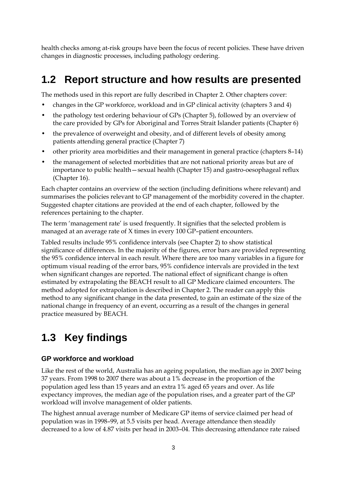health checks among at-risk groups have been the focus of recent policies. These have driven changes in diagnostic processes, including pathology ordering.

# **1.2 Report structure and how results are presented**

The methods used in this report are fully described in Chapter 2. Other chapters cover:

- changes in the GP workforce, workload and in GP clinical activity (chapters 3 and 4)
- the pathology test ordering behaviour of GPs (Chapter 5), followed by an overview of the care provided by GPs for Aboriginal and Torres Strait Islander patients (Chapter 6)
- the prevalence of overweight and obesity, and of different levels of obesity among patients attending general practice (Chapter 7)
- other priority area morbidities and their management in general practice (chapters 8–14)
- the management of selected morbidities that are not national priority areas but are of importance to public health—sexual health (Chapter 15) and gastro-oesophageal reflux (Chapter 16).

Each chapter contains an overview of the section (including definitions where relevant) and summarises the policies relevant to GP management of the morbidity covered in the chapter. Suggested chapter citations are provided at the end of each chapter, followed by the references pertaining to the chapter.

The term 'management rate' is used frequently. It signifies that the selected problem is managed at an average rate of X times in every 100 GP–patient encounters.

Tabled results include 95% confidence intervals (see Chapter 2) to show statistical significance of differences. In the majority of the figures, error bars are provided representing the 95% confidence interval in each result. Where there are too many variables in a figure for optimum visual reading of the error bars, 95% confidence intervals are provided in the text when significant changes are reported. The national effect of significant change is often estimated by extrapolating the BEACH result to all GP Medicare claimed encounters. The method adopted for extrapolation is described in Chapter 2. The reader can apply this method to any significant change in the data presented, to gain an estimate of the size of the national change in frequency of an event, occurring as a result of the changes in general practice measured by BEACH.

# **1.3 Key findings**

#### **GP workforce and workload**

Like the rest of the world, Australia has an ageing population, the median age in 2007 being 37 years. From 1998 to 2007 there was about a 1% decrease in the proportion of the population aged less than 15 years and an extra 1% aged 65 years and over. As life expectancy improves, the median age of the population rises, and a greater part of the GP workload will involve management of older patients.

The highest annual average number of Medicare GP items of service claimed per head of population was in 1998–99, at 5.5 visits per head. Average attendance then steadily decreased to a low of 4.87 visits per head in 2003–04. This decreasing attendance rate raised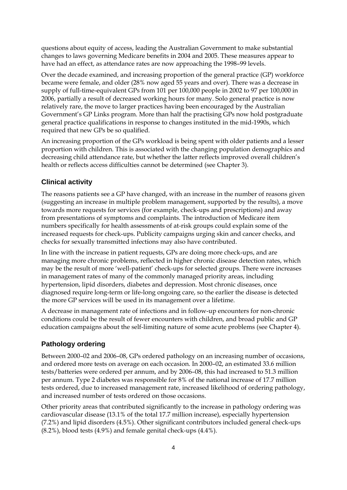questions about equity of access, leading the Australian Government to make substantial changes to laws governing Medicare benefits in 2004 and 2005. These measures appear to have had an effect, as attendance rates are now approaching the 1998–99 levels.

Over the decade examined, and increasing proportion of the general practice (GP) workforce became were female, and older (28% now aged 55 years and over). There was a decrease in supply of full-time-equivalent GPs from 101 per 100,000 people in 2002 to 97 per 100,000 in 2006, partially a result of decreased working hours for many. Solo general practice is now relatively rare, the move to larger practices having been encouraged by the Australian Government's GP Links program. More than half the practising GPs now hold postgraduate general practice qualifications in response to changes instituted in the mid-1990s, which required that new GPs be so qualified.

An increasing proportion of the GPs workload is being spent with older patients and a lesser proportion with children. This is associated with the changing population demographics and decreasing child attendance rate, but whether the latter reflects improved overall children's health or reflects access difficulties cannot be determined (see Chapter 3).

#### **Clinical activity**

The reasons patients see a GP have changed, with an increase in the number of reasons given (suggesting an increase in multiple problem management, supported by the results), a move towards more requests for services (for example, check-ups and prescriptions) and away from presentations of symptoms and complaints. The introduction of Medicare item numbers specifically for health assessments of at-risk groups could explain some of the increased requests for check-ups. Publicity campaigns urging skin and cancer checks, and checks for sexually transmitted infections may also have contributed.

In line with the increase in patient requests, GPs are doing more check-ups, and are managing more chronic problems, reflected in higher chronic disease detection rates, which may be the result of more 'well-patient' check-ups for selected groups. There were increases in management rates of many of the commonly managed priority areas, including hypertension, lipid disorders, diabetes and depression. Most chronic diseases, once diagnosed require long-term or life-long ongoing care, so the earlier the disease is detected the more GP services will be used in its management over a lifetime.

A decrease in management rate of infections and in follow-up encounters for non-chronic conditions could be the result of fewer encounters with children, and broad public and GP education campaigns about the self-limiting nature of some acute problems (see Chapter 4).

#### **Pathology ordering**

Between 2000–02 and 2006–08, GPs ordered pathology on an increasing number of occasions, and ordered more tests on average on each occasion. In 2000–02, an estimated 33.6 million tests/batteries were ordered per annum, and by 2006–08, this had increased to 51.3 million per annum. Type 2 diabetes was responsible for 8% of the national increase of 17.7 million tests ordered, due to increased management rate, increased likelihood of ordering pathology, and increased number of tests ordered on those occasions.

Other priority areas that contributed significantly to the increase in pathology ordering was cardiovascular disease (13.1% of the total 17.7 million increase), especially hypertension (7.2%) and lipid disorders (4.5%). Other significant contributors included general check-ups  $(8.2\%)$ , blood tests  $(4.9\%)$  and female genital check-ups  $(4.4\%)$ .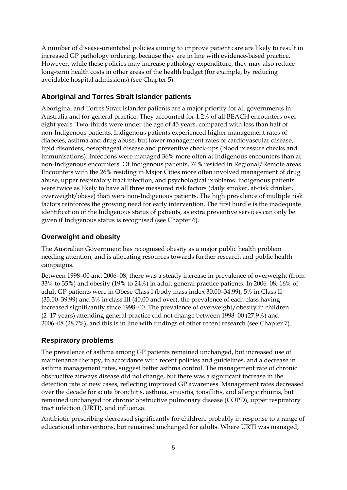A number of disease-orientated policies aiming to improve patient care are likely to result in increased GP pathology ordering, because they are in line with evidence-based practice. However, while these policies may increase pathology expenditure, they may also reduce long-term health costs in other areas of the health budget (for example, by reducing avoidable hospital admissions) (see Chapter 5).

#### **Aboriginal and Torres Strait Islander patients**

Aboriginal and Torres Strait Islander patients are a major priority for all governments in Australia and for general practice. They accounted for 1.2% of all BEACH encounters over eight years. Two-thirds were under the age of 45 years, compared with less than half of non-Indigenous patients. Indigenous patients experienced higher management rates of diabetes, asthma and drug abuse, but lower management rates of cardiovascular disease, lipid disorders, oesophageal disease and preventive check-ups (blood pressure checks and immunisations). Infections were managed 36% more often at Indigenous encounters than at non-Indigenous encounters. Of Indigenous patients, 74% resided in Regional/Remote areas. Encounters with the 26% residing in Major Cities more often involved management of drug abuse, upper respiratory tract infection, and psychological problems. Indigenous patients were twice as likely to have all three measured risk factors (daily smoker, at-risk drinker, overweight/obese) than were non-Indigenous patients. The high prevalence of multiple risk factors reinforces the growing need for early intervention. The first hurdle is the inadequate identification of the Indigenous status of patients, as extra preventive services can only be given if Indigenous status is recognised (see Chapter 6).

#### **Overweight and obesity**

The Australian Government has recognised obesity as a major public health problem needing attention, and is allocating resources towards further research and public health campaigns.

Between 1998–00 and 2006–08, there was a steady increase in prevalence of overweight (from 33% to 35%) and obesity (19% to 24%) in adult general practice patients. In 2006–08, 16% of adult GP patients were in Obese Class I (body mass index 30.00–34.99), 5% in Class II (35.00–39.99) and 3% in class III (40.00 and over), the prevalence of each class having increased significantly since 1998–00. The prevalence of overweight/obesity in children (2–17 years) attending general practice did not change between 1998–00 (27.9%) and 2006–08 (28.7%), and this is in line with findings of other recent research (see Chapter 7).

#### **Respiratory problems**

The prevalence of asthma among GP patients remained unchanged, but increased use of maintenance therapy, in accordance with recent policies and guidelines, and a decrease in asthma management rates, suggest better asthma control. The management rate of chronic obstructive airways disease did not change, but there was a significant increase in the detection rate of new cases, reflecting improved GP awareness. Management rates decreased over the decade for acute bronchitis, asthma, sinusitis, tonsillitis, and allergic rhinitis, but remained unchanged for chronic obstructive pulmonary disease (COPD), upper respiratory tract infection (URTI), and influenza.

Antibiotic prescribing decreased significantly for children, probably in response to a range of educational interventions, but remained unchanged for adults. Where URTI was managed,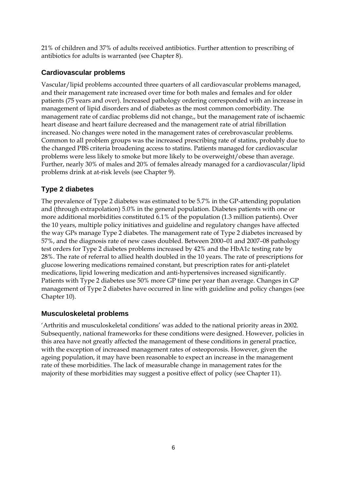21% of children and 37% of adults received antibiotics. Further attention to prescribing of antibiotics for adults is warranted (see Chapter 8).

## **Cardiovascular problems**

Vascular/lipid problems accounted three quarters of all cardiovascular problems managed, and their management rate increased over time for both males and females and for older patients (75 years and over). Increased pathology ordering corresponded with an increase in management of lipid disorders and of diabetes as the most common comorbidity. The management rate of cardiac problems did not change,, but the management rate of ischaemic heart disease and heart failure decreased and the management rate of atrial fibrillation increased. No changes were noted in the management rates of cerebrovascular problems*.*  Common to all problem groups was the increased prescribing rate of statins, probably due to the changed PBS criteria broadening access to statins. Patients managed for cardiovascular problems were less likely to smoke but more likely to be overweight/obese than average. Further, nearly 30% of males and 20% of females already managed for a cardiovascular/lipid problems drink at at-risk levels (see Chapter 9).

## **Type 2 diabetes**

The prevalence of Type 2 diabetes was estimated to be 5.7% in the GP-attending population and (through extrapolation) 5.0% in the general population. Diabetes patients with one or more additional morbidities constituted 6.1% of the population (1.3 million patients). Over the 10 years, multiple policy initiatives and guideline and regulatory changes have affected the way GPs manage Type 2 diabetes. The management rate of Type 2 diabetes increased by 57%, and the diagnosis rate of new cases doubled. Between 2000–01 and 2007–08 pathology test orders for Type 2 diabetes problems increased by 42% and the HbA1c testing rate by 28%. The rate of referral to allied health doubled in the 10 years. The rate of prescriptions for glucose lowering medications remained constant, but prescription rates for anti-platelet medications, lipid lowering medication and anti-hypertensives increased significantly. Patients with Type 2 diabetes use 50% more GP time per year than average. Changes in GP management of Type 2 diabetes have occurred in line with guideline and policy changes (see Chapter 10).

## **Musculoskeletal problems**

'Arthritis and musculoskeletal conditions' was added to the national priority areas in 2002. Subsequently, national frameworks for these conditions were designed. However, policies in this area have not greatly affected the management of these conditions in general practice, with the exception of increased management rates of osteoporosis. However, given the ageing population, it may have been reasonable to expect an increase in the management rate of these morbidities. The lack of measurable change in management rates for the majority of these morbidities may suggest a positive effect of policy (see Chapter 11).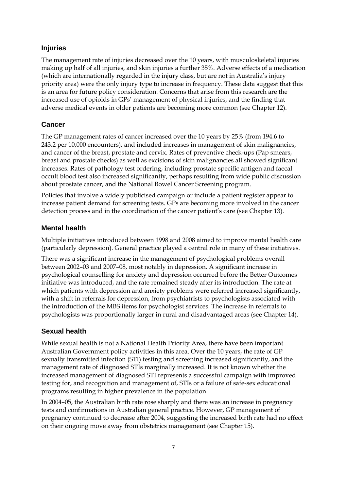## **Injuries**

The management rate of injuries decreased over the 10 years, with musculoskeletal injuries making up half of all injuries, and skin injuries a further 35%. Adverse effects of a medication (which are internationally regarded in the injury class, but are not in Australia's injury priority area) were the only injury type to increase in frequency. These data suggest that this is an area for future policy consideration. Concerns that arise from this research are the increased use of opioids in GPs' management of physical injuries, and the finding that adverse medical events in older patients are becoming more common (see Chapter 12).

#### **Cancer**

The GP management rates of cancer increased over the 10 years by 25% (from 194.6 to 243.2 per 10,000 encounters), and included increases in management of skin malignancies, and cancer of the breast, prostate and cervix. Rates of preventive check-ups (Pap smears, breast and prostate checks) as well as excisions of skin malignancies all showed significant increases. Rates of pathology test ordering, including prostate specific antigen and faecal occult blood test also increased significantly, perhaps resulting from wide public discussion about prostate cancer, and the National Bowel Cancer Screening program.

Policies that involve a widely publicised campaign or include a patient register appear to increase patient demand for screening tests. GPs are becoming more involved in the cancer detection process and in the coordination of the cancer patient's care (see Chapter 13)*.*

#### **Mental health**

Multiple initiatives introduced between 1998 and 2008 aimed to improve mental health care (particularly depression). General practice played a central role in many of these initiatives.

There was a significant increase in the management of psychological problems overall between 2002–03 and 2007–08, most notably in depression. A significant increase in psychological counselling for anxiety and depression occurred before the Better Outcomes initiative was introduced, and the rate remained steady after its introduction. The rate at which patients with depression and anxiety problems were referred increased significantly, with a shift in referrals for depression, from psychiatrists to psychologists associated with the introduction of the MBS items for psychologist services. The increase in referrals to psychologists was proportionally larger in rural and disadvantaged areas (see Chapter 14).

#### **Sexual health**

While sexual health is not a National Health Priority Area, there have been important Australian Government policy activities in this area. Over the 10 years, the rate of GP sexually transmitted infection (STI) testing and screening increased significantly, and the management rate of diagnosed STIs marginally increased. It is not known whether the increased management of diagnosed STI represents a successful campaign with improved testing for, and recognition and management of, STIs or a failure of safe-sex educational programs resulting in higher prevalence in the population.

In 2004–05, the Australian birth rate rose sharply and there was an increase in pregnancy tests and confirmations in Australian general practice. However, GP management of pregnancy continued to decrease after 2004, suggesting the increased birth rate had no effect on their ongoing move away from obstetrics management (see Chapter 15).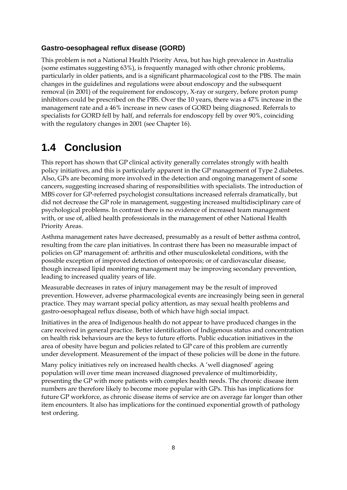#### **Gastro-oesophageal reflux disease (GORD)**

This problem is not a National Health Priority Area, but has high prevalence in Australia (some estimates suggesting 63%), is frequently managed with other chronic problems, particularly in older patients, and is a significant pharmacological cost to the PBS. The main changes in the guidelines and regulations were about endoscopy and the subsequent removal (in 2001) of the requirement for endoscopy, X-ray or surgery, before proton pump inhibitors could be prescribed on the PBS. Over the 10 years, there was a 47% increase in the management rate and a 46% increase in new cases of GORD being diagnosed. Referrals to specialists for GORD fell by half, and referrals for endoscopy fell by over 90%, coinciding with the regulatory changes in 2001 (see Chapter 16).

## **1.4 Conclusion**

This report has shown that GP clinical activity generally correlates strongly with health policy initiatives, and this is particularly apparent in the GP management of Type 2 diabetes. Also, GPs are becoming more involved in the detection and ongoing management of some cancers, suggesting increased sharing of responsibilities with specialists. The introduction of MBS cover for GP-referred psychologist consultations increased referrals dramatically, but did not decrease the GP role in management, suggesting increased multidisciplinary care of psychological problems. In contrast there is no evidence of increased team management with, or use of, allied health professionals in the management of other National Health Priority Areas.

Asthma management rates have decreased, presumably as a result of better asthma control, resulting from the care plan initiatives. In contrast there has been no measurable impact of policies on GP management of: arthritis and other musculoskeletal conditions, with the possible exception of improved detection of osteoporosis; or of cardiovascular disease, though increased lipid monitoring management may be improving secondary prevention, leading to increased quality years of life.

Measurable decreases in rates of injury management may be the result of improved prevention. However, adverse pharmacological events are increasingly being seen in general practice. They may warrant special policy attention, as may sexual health problems and gastro-oesophageal reflux disease, both of which have high social impact.

Initiatives in the area of Indigenous health do not appear to have produced changes in the care received in general practice. Better identification of Indigenous status and concentration on health risk behaviours are the keys to future efforts. Public education initiatives in the area of obesity have begun and policies related to GP care of this problem are currently under development. Measurement of the impact of these policies will be done in the future.

Many policy initiatives rely on increased health checks. A 'well diagnosed' ageing population will over time mean increased diagnosed prevalence of multimorbidity, presenting the GP with more patients with complex health needs. The chronic disease item numbers are therefore likely to become more popular with GPs. This has implications for future GP workforce, as chronic disease items of service are on average far longer than other item encounters. It also has implications for the continued exponential growth of pathology test ordering.